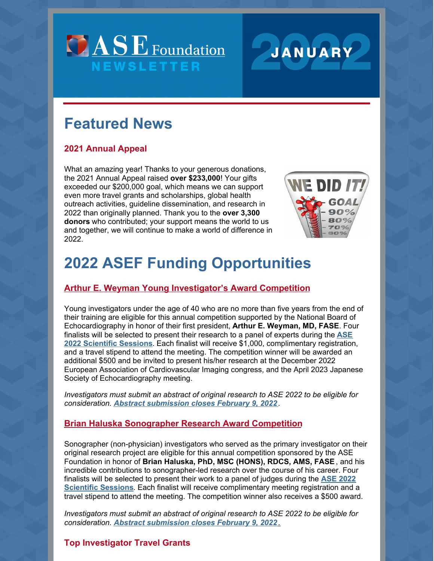



# **Featured News**

# **2021 Annual Appeal**

What an amazing year! Thanks to your generous donations, the 2021 Annual Appeal raised **over \$233,000**! Your gifts exceeded our \$200,000 goal, which means we can support even more travel grants and scholarships, global health outreach activities, guideline dissemination, and research in 2022 than originally planned. Thank you to the **over 3,300 donors** who contributed; your support means the world to us and together, we will continue to make a world of difference in 2022.



# **2022 ASEF Funding Opportunities**

## **Arthur E. Weyman Young Investigator's Award Competition**

Young investigators under the age of 40 who are no more than five years from the end of their training are eligible for this annual competition supported by the National Board of Echocardiography in honor of their first president, **Arthur E. Weyman, MD, FASE**. Four finalists will be selected to present their research to a panel of experts during the **ASE 2022 Scientific Sessions**. Each finalist will receive \$1,000, complimentary registration, and a travel stipend to attend the meeting. The competition winner will be awarded an additional \$500 and be invited to present his/her research at the December 2022 European Association of Cardiovascular Imaging congress, and the April 2023 Japanese Society of Echocardiography meeting.

*Investigators must submit an abstract of original research to ASE 2022 to be eligible for consideration. Abstract submission closes February 9, 2022 .*

### **Brian Haluska Sonographer Research Award Competition**

Sonographer (non-physician) investigators who served as the primary investigator on their original research project are eligible for this annual competition sponsored by the ASE Foundation in honor of **Brian Haluska, PhD, MSC (HONS), RDCS, AMS, FASE**, and his incredible contributions to sonographer-led research over the course of his career. Four finalists will be selected to present their work to a panel of judges during the **ASE 2022 Scientific Sessions**. Each finalist will receive complimentary meeting registration and a travel stipend to attend the meeting. The competition winner also receives a \$500 award.

*Investigators must submit an abstract of original research to ASE 2022 to be eligible for consideration. Abstract submission closes February 9, 2022 .*

## **Top Investigator Travel Grants**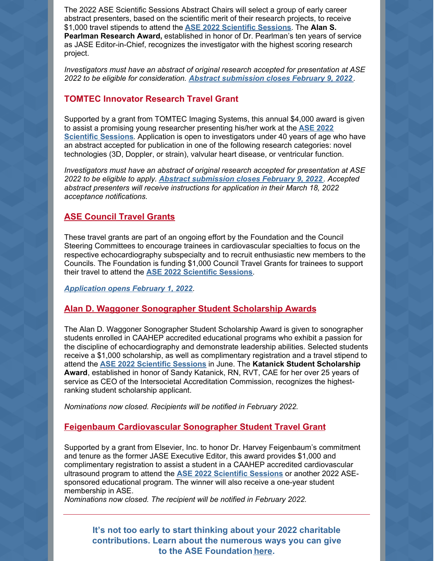The 2022 ASE Scientific Sessions Abstract Chairs will select a group of early career abstract presenters, based on the scientific merit of their research projects, to receive \$1,000 travel stipends to attend the **ASE 2022 Scientific Sessions**. The **Alan S. Pearlman Research Award,** established in honor of Dr. Pearlman's ten years of service as JASE Editor-in-Chief, recognizes the investigator with the highest scoring research project.

*Investigators must have an abstract of original research accepted for presentation at ASE 2022 to be eligible for consideration. Abstract submission closes February 9, 2022 .*

#### **TOMTEC Innovator Research Travel Grant**

Supported by a grant from TOMTEC Imaging Systems, this annual \$4,000 award is given to assist a promising young researcher presenting his/her work at the **ASE 2022 Scientific Sessions**. Application is open to investigators under 40 years of age who have an abstract accepted for publication in one of the following research categories: novel technologies (3D, Doppler, or strain), valvular heart disease, or ventricular function.

*Investigators must have an abstract of original research accepted for presentation at ASE 2022 to be eligible to apply. Abstract submission closes February 9, 2022 . Accepted abstract presenters will receive instructions for application in their March 18, 2022 acceptance notifications.*

#### **ASE Council Travel Grants**

These travel grants are part of an ongoing effort by the Foundation and the Council Steering Committees to encourage trainees in cardiovascular specialties to focus on the respective echocardiography subspecialty and to recruit enthusiastic new members to the Councils. The Foundation is funding \$1,000 Council Travel Grants for trainees to support their travel to attend the **ASE 2022 Scientific Sessions**.

*Application opens February 1, 2022.*

#### **Alan D. Waggoner Sonographer Student Scholarship Awards**

The Alan D. Waggoner Sonographer Student Scholarship Award is given to sonographer students enrolled in CAAHEP accredited educational programs who exhibit a passion for the discipline of echocardiography and demonstrate leadership abilities. Selected students receive a \$1,000 scholarship, as well as complimentary registration and a travel stipend to attend the **ASE 2022 Scientific Sessions** in June. The **Katanick Student Scholarship Award**, established in honor of Sandy Katanick, RN, RVT, CAE for her over 25 years of service as CEO of the Intersocietal Accreditation Commission, recognizes the highestranking student scholarship applicant.

*Nominations now closed. Recipients will be notified in February 2022.*

#### **Feigenbaum Cardiovascular Sonographer Student Travel Grant**

Supported by a grant from Elsevier, Inc. to honor Dr. Harvey Feigenbaum's commitment and tenure as the former JASE Executive Editor, this award provides \$1,000 and complimentary registration to assist a student in a CAAHEP accredited cardiovascular ultrasound program to attend the **ASE 2022 Scientific Sessions** or another 2022 ASEsponsored educational program. The winner will also receive a one-year student membership in ASE.

*Nominations now closed. The recipient will be notified in February 2022.*

**It's not too early to start thinking about your 2022 charitable contributions. Learn about the numerous ways you can give to the ASE Foundation here.**